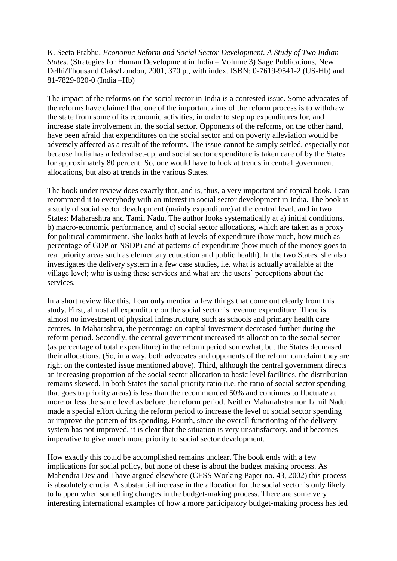K. Seeta Prabhu, *Economic Reform and Social Sector Development. A Study of Two Indian States*. (Strategies for Human Development in India – Volume 3) Sage Publications, New Delhi/Thousand Oaks/London, 2001, 370 p., with index. ISBN: 0-7619-9541-2 (US-Hb) and 81-7829-020-0 (India –Hb)

The impact of the reforms on the social rector in India is a contested issue. Some advocates of the reforms have claimed that one of the important aims of the reform process is to withdraw the state from some of its economic activities, in order to step up expenditures for, and increase state involvement in, the social sector. Opponents of the reforms, on the other hand, have been afraid that expenditures on the social sector and on poverty alleviation would be adversely affected as a result of the reforms. The issue cannot be simply settled, especially not because India has a federal set-up, and social sector expenditure is taken care of by the States for approximately 80 percent. So, one would have to look at trends in central government allocations, but also at trends in the various States.

The book under review does exactly that, and is, thus, a very important and topical book. I can recommend it to everybody with an interest in social sector development in India. The book is a study of social sector development (mainly expenditure) at the central level, and in two States: Maharashtra and Tamil Nadu. The author looks systematically at a) initial conditions, b) macro-economic performance, and c) social sector allocations, which are taken as a proxy for political commitment. She looks both at levels of expenditure (how much, how much as percentage of GDP or NSDP) and at patterns of expenditure (how much of the money goes to real priority areas such as elementary education and public health). In the two States, she also investigates the delivery system in a few case studies, i.e. what is actually available at the village level; who is using these services and what are the users' perceptions about the services.

In a short review like this, I can only mention a few things that come out clearly from this study. First, almost all expenditure on the social sector is revenue expenditure. There is almost no investment of physical infrastructure, such as schools and primary health care centres. In Maharashtra, the percentage on capital investment decreased further during the reform period. Secondly, the central government increased its allocation to the social sector (as percentage of total expenditure) in the reform period somewhat, but the States decreased their allocations. (So, in a way, both advocates and opponents of the reform can claim they are right on the contested issue mentioned above). Third, although the central government directs an increasing proportion of the social sector allocation to basic level facilities, the distribution remains skewed. In both States the social priority ratio (i.e. the ratio of social sector spending that goes to priority areas) is less than the recommended 50% and continues to fluctuate at more or less the same level as before the reform period. Neither Maharahstra nor Tamil Nadu made a special effort during the reform period to increase the level of social sector spending or improve the pattern of its spending. Fourth, since the overall functioning of the delivery system has not improved, it is clear that the situation is very unsatisfactory, and it becomes imperative to give much more priority to social sector development.

How exactly this could be accomplished remains unclear. The book ends with a few implications for social policy, but none of these is about the budget making process. As Mahendra Dev and I have argued elsewhere (CESS Working Paper no. 43, 2002) this process is absolutely crucial A substantial increase in the allocation for the social sector is only likely to happen when something changes in the budget-making process. There are some very interesting international examples of how a more participatory budget-making process has led